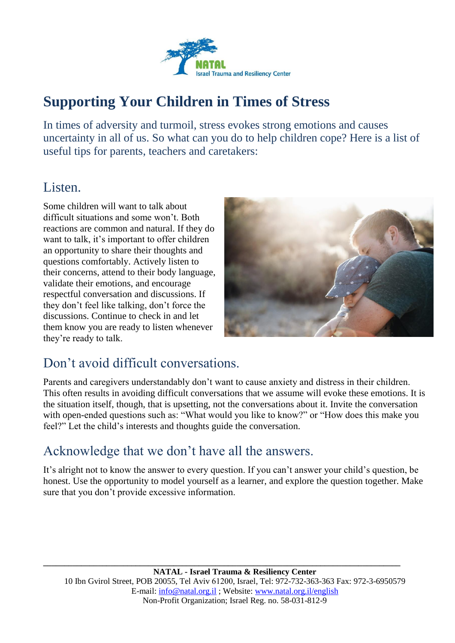

# **Supporting Your Children in Times of Stress**

In times of adversity and turmoil, stress evokes strong emotions and causes uncertainty in all of us. So what can you do to help children cope? Here is a list of useful tips for parents, teachers and caretakers:

#### Listen.

Some children will want to talk about difficult situations and some won't. Both reactions are common and natural. If they do want to talk, it's important to offer children an opportunity to share their thoughts and questions comfortably. Actively listen to their concerns, attend to their body language, validate their emotions, and encourage respectful conversation and discussions. If they don't feel like talking, don't force the discussions. Continue to check in and let them know you are ready to listen whenever they're ready to talk.



### Don't avoid difficult conversations.

Parents and caregivers understandably don't want to cause anxiety and distress in their children. This often results in avoiding difficult conversations that we assume will evoke these emotions. It is the situation itself, though, that is upsetting, not the conversations about it. Invite the conversation with open-ended questions such as: "What would you like to know?" or "How does this make you feel?" Let the child's interests and thoughts guide the conversation.

### Acknowledge that we don't have all the answers.

It's alright not to know the answer to every question. If you can't answer your child's question, be honest. Use the opportunity to model yourself as a learner, and explore the question together. Make sure that you don't provide excessive information.

**\_\_\_\_\_\_\_\_\_\_\_\_\_\_\_\_\_\_\_\_\_\_\_\_\_\_\_\_\_\_\_\_\_\_\_\_\_\_\_\_\_\_\_\_\_\_\_\_\_\_\_\_\_\_\_\_\_\_\_\_\_\_\_\_\_\_\_\_\_\_\_\_\_\_\_\_\_\_\_\_\_\_\_\_\_**